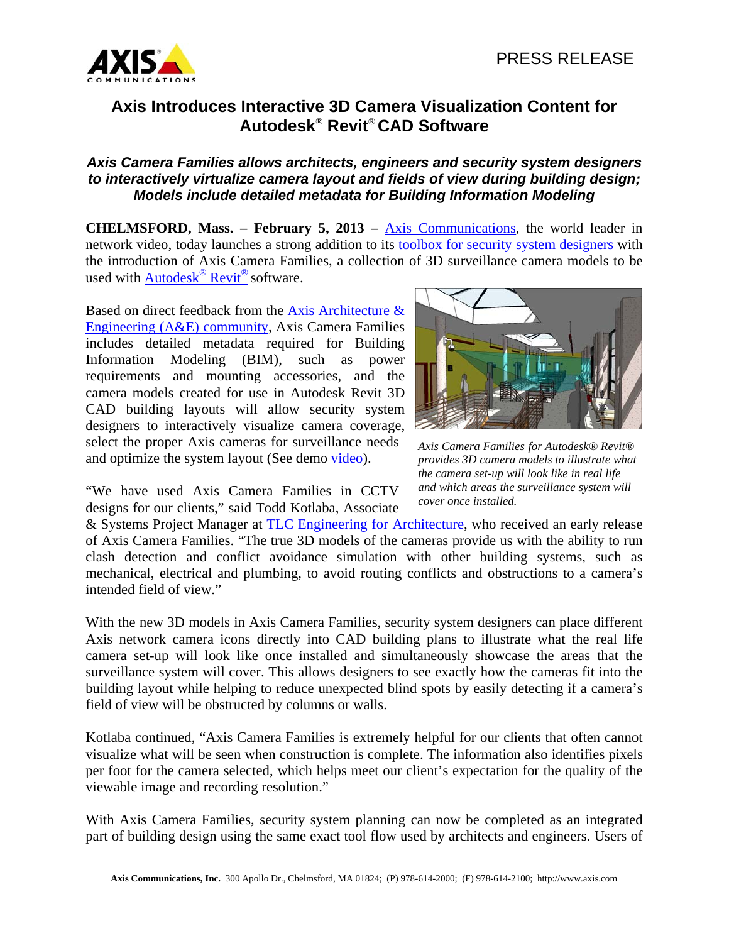

## **Axis Introduces Interactive 3D Camera Visualization Content for Autodesk**® **Revit**® **CAD Software**

## *Axis Camera Families allows architects, engineers and security system designers to interactively virtualize camera layout and fields of view during building design; Models include detailed metadata for Building Information Modeling*

**CHELMSFORD, Mass. – February 5, 2013 – Axis Communications, the world leader in** network video, today launches a strong addition to its toolbox for security system designers with the introduction of Axis Camera Families, a collection of 3D surveillance camera models to be used with Autodesk<sup>®</sup> Revit<sup>®</sup> software.

Based on direct feedback from the Axis Architecture & Engineering (A&E) community, Axis Camera Families includes detailed metadata required for Building Information Modeling (BIM), such as power requirements and mounting accessories, and the camera models created for use in Autodesk Revit 3D CAD building layouts will allow security system designers to interactively visualize camera coverage, select the proper Axis cameras for surveillance needs and optimize the system layout (See demo video).



*Axis Camera Families for Autodesk® Revit® provides 3D camera models to illustrate what the camera set-up will look like in real life and which areas the surveillance system will cover once installed.* 

"We have used Axis Camera Families in CCTV designs for our clients," said Todd Kotlaba, Associate

& Systems Project Manager at TLC Engineering for Architecture, who received an early release of Axis Camera Families. "The true 3D models of the cameras provide us with the ability to run clash detection and conflict avoidance simulation with other building systems, such as mechanical, electrical and plumbing, to avoid routing conflicts and obstructions to a camera's intended field of view."

With the new 3D models in Axis Camera Families, security system designers can place different Axis network camera icons directly into CAD building plans to illustrate what the real life camera set-up will look like once installed and simultaneously showcase the areas that the surveillance system will cover. This allows designers to see exactly how the cameras fit into the building layout while helping to reduce unexpected blind spots by easily detecting if a camera's field of view will be obstructed by columns or walls.

Kotlaba continued, "Axis Camera Families is extremely helpful for our clients that often cannot visualize what will be seen when construction is complete. The information also identifies pixels per foot for the camera selected, which helps meet our client's expectation for the quality of the viewable image and recording resolution."

With Axis Camera Families, security system planning can now be completed as an integrated part of building design using the same exact tool flow used by architects and engineers. Users of